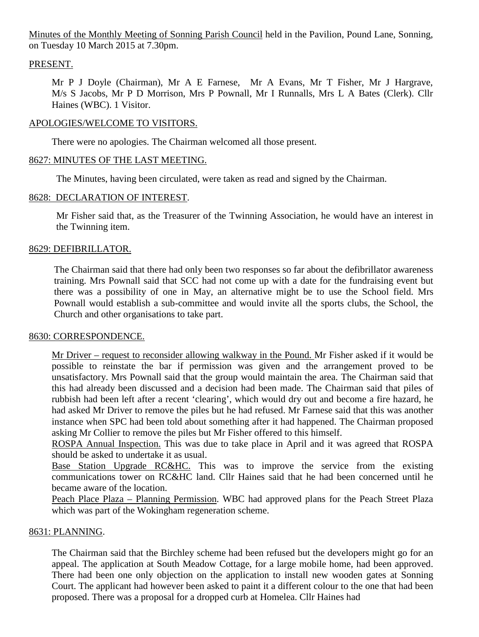Minutes of the Monthly Meeting of Sonning Parish Council held in the Pavilion, Pound Lane, Sonning, on Tuesday 10 March 2015 at 7.30pm.

## PRESENT.

Mr P J Doyle (Chairman), Mr A E Farnese, Mr A Evans, Mr T Fisher, Mr J Hargrave, M/s S Jacobs, Mr P D Morrison, Mrs P Pownall, Mr I Runnalls, Mrs L A Bates (Clerk). Cllr Haines (WBC). 1 Visitor.

## APOLOGIES/WELCOME TO VISITORS.

There were no apologies. The Chairman welcomed all those present.

## 8627: MINUTES OF THE LAST MEETING.

The Minutes, having been circulated, were taken as read and signed by the Chairman.

## 8628: DECLARATION OF INTEREST.

Mr Fisher said that, as the Treasurer of the Twinning Association, he would have an interest in the Twinning item.

## 8629: DEFIBRILLATOR.

The Chairman said that there had only been two responses so far about the defibrillator awareness training. Mrs Pownall said that SCC had not come up with a date for the fundraising event but there was a possibility of one in May, an alternative might be to use the School field. Mrs Pownall would establish a sub-committee and would invite all the sports clubs, the School, the Church and other organisations to take part.

## 8630: CORRESPONDENCE.

Mr Driver – request to reconsider allowing walkway in the Pound. Mr Fisher asked if it would be possible to reinstate the bar if permission was given and the arrangement proved to be unsatisfactory. Mrs Pownall said that the group would maintain the area. The Chairman said that this had already been discussed and a decision had been made. The Chairman said that piles of rubbish had been left after a recent 'clearing', which would dry out and become a fire hazard, he had asked Mr Driver to remove the piles but he had refused. Mr Farnese said that this was another instance when SPC had been told about something after it had happened. The Chairman proposed asking Mr Collier to remove the piles but Mr Fisher offered to this himself.

ROSPA Annual Inspection. This was due to take place in April and it was agreed that ROSPA should be asked to undertake it as usual.

Base Station Upgrade RC&HC. This was to improve the service from the existing communications tower on RC&HC land. Cllr Haines said that he had been concerned until he became aware of the location.

Peach Place Plaza – Planning Permission. WBC had approved plans for the Peach Street Plaza which was part of the Wokingham regeneration scheme.

## 8631: PLANNING.

The Chairman said that the Birchley scheme had been refused but the developers might go for an appeal. The application at South Meadow Cottage, for a large mobile home, had been approved. There had been one only objection on the application to install new wooden gates at Sonning Court. The applicant had however been asked to paint it a different colour to the one that had been proposed. There was a proposal for a dropped curb at Homelea. Cllr Haines had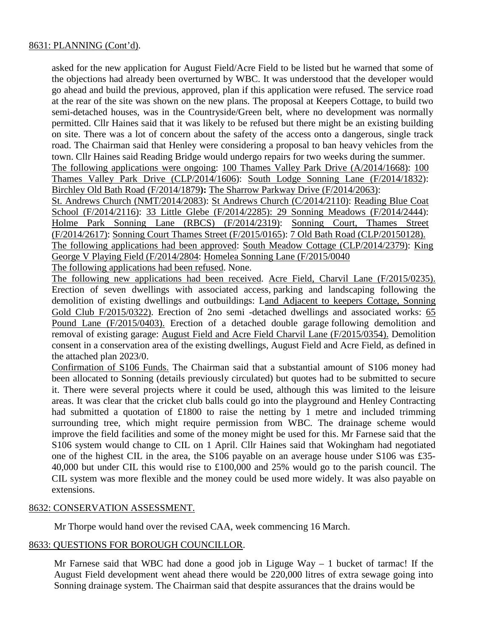## 8631: PLANNING (Cont'd).

asked for the new application for August Field/Acre Field to be listed but he warned that some of the objections had already been overturned by WBC. It was understood that the developer would go ahead and build the previous, approved, plan if this application were refused. The service road at the rear of the site was shown on the new plans. The proposal at Keepers Cottage, to build two semi-detached houses, was in the Countryside/Green belt, where no development was normally permitted. Cllr Haines said that it was likely to be refused but there might be an existing building on site. There was a lot of concern about the safety of the access onto a dangerous, single track road. The Chairman said that Henley were considering a proposal to ban heavy vehicles from the town. Cllr Haines said Reading Bridge would undergo repairs for two weeks during the summer. The following applications were ongoing: 100 Thames Valley Park Drive (A/2014/1668): 100 Thames Valley Park Drive (CLP/2014/1606): South Lodge Sonning Lane (F/2014/1832):

Birchley Old Bath Road (F/2014/1879**):** The Sharrow Parkway Drive (F/2014/2063):

St. Andrews Church (NMT/2014/2083): St Andrews Church (C/2014/2110): Reading Blue Coat School (F/2014/2116): 33 Little Glebe (F/2014/2285): 29 Sonning Meadows (F/2014/2444): Holme Park Sonning Lane (RBCS) (F/2014/2319): Sonning Court, Thames Street (F/2014/2617): Sonning Court Thames Street (F/2015/0165): 7 Old Bath Road (CLP/20150128). The following applications had been approved: South Meadow Cottage (CLP/2014/2379): King George V Playing Field (F/2014/2804: Homelea Sonning Lane (F/2015/0040

The following applications had been refused. None.

The following new applications had been received. Acre Field, Charvil Lane (F/2015/0235). Erection of seven dwellings with associated access, parking and landscaping following the demolition of existing dwellings and outbuildings: Land Adjacent to keepers Cottage, Sonning Gold Club F/2015/0322). Erection of 2no semi -detached dwellings and associated works: 65 Pound Lane (F/2015/0403). Erection of a detached double garage following demolition and removal of existing garage: August Field and Acre Field Charvil Lane (F/2015/0354). Demolition consent in a conservation area of the existing dwellings, August Field and Acre Field, as defined in the attached plan 2023/0.

Confirmation of S106 Funds. The Chairman said that a substantial amount of S106 money had been allocated to Sonning (details previously circulated) but quotes had to be submitted to secure it. There were several projects where it could be used, although this was limited to the leisure areas. It was clear that the cricket club balls could go into the playground and Henley Contracting had submitted a quotation of £1800 to raise the netting by 1 metre and included trimming surrounding tree, which might require permission from WBC. The drainage scheme would improve the field facilities and some of the money might be used for this. Mr Farnese said that the S106 system would change to CIL on 1 April. Cllr Haines said that Wokingham had negotiated one of the highest CIL in the area, the S106 payable on an average house under S106 was £35- 40,000 but under CIL this would rise to £100,000 and 25% would go to the parish council. The CIL system was more flexible and the money could be used more widely. It was also payable on extensions.

## 8632: CONSERVATION ASSESSMENT.

Mr Thorpe would hand over the revised CAA, week commencing 16 March.

## 8633: QUESTIONS FOR BOROUGH COUNCILLOR.

Mr Farnese said that WBC had done a good job in Liguge Way  $-1$  bucket of tarmac! If the August Field development went ahead there would be 220,000 litres of extra sewage going into Sonning drainage system. The Chairman said that despite assurances that the drains would be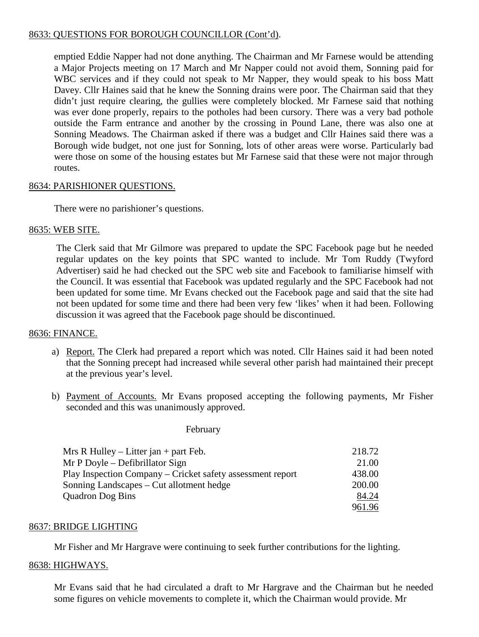# 8633: QUESTIONS FOR BOROUGH COUNCILLOR (Cont'd).

emptied Eddie Napper had not done anything. The Chairman and Mr Farnese would be attending a Major Projects meeting on 17 March and Mr Napper could not avoid them, Sonning paid for WBC services and if they could not speak to Mr Napper, they would speak to his boss Matt Davey. Cllr Haines said that he knew the Sonning drains were poor. The Chairman said that they didn't just require clearing, the gullies were completely blocked. Mr Farnese said that nothing was ever done properly, repairs to the potholes had been cursory. There was a very bad pothole outside the Farm entrance and another by the crossing in Pound Lane, there was also one at Sonning Meadows. The Chairman asked if there was a budget and Cllr Haines said there was a Borough wide budget, not one just for Sonning, lots of other areas were worse. Particularly bad were those on some of the housing estates but Mr Farnese said that these were not major through routes.

## 8634: PARISHIONER QUESTIONS.

There were no parishioner's questions.

## 8635: WEB SITE.

The Clerk said that Mr Gilmore was prepared to update the SPC Facebook page but he needed regular updates on the key points that SPC wanted to include. Mr Tom Ruddy (Twyford Advertiser) said he had checked out the SPC web site and Facebook to familiarise himself with the Council. It was essential that Facebook was updated regularly and the SPC Facebook had not been updated for some time. Mr Evans checked out the Facebook page and said that the site had not been updated for some time and there had been very few 'likes' when it had been. Following discussion it was agreed that the Facebook page should be discontinued.

## 8636: FINANCE.

- a) Report. The Clerk had prepared a report which was noted. Cllr Haines said it had been noted that the Sonning precept had increased while several other parish had maintained their precept at the previous year's level.
- b) Payment of Accounts. Mr Evans proposed accepting the following payments, Mr Fisher seconded and this was unanimously approved.

#### February

| Mrs R Hulley – Litter jan + part Feb.                      | 218.72 |
|------------------------------------------------------------|--------|
| Mr P Doyle – Defibrillator Sign                            | 21.00  |
| Play Inspection Company – Cricket safety assessment report | 438.00 |
| Sonning Landscapes – Cut allotment hedge                   | 200.00 |
| <b>Quadron Dog Bins</b>                                    | 84.24  |
|                                                            | 961.96 |

## 8637: BRIDGE LIGHTING

Mr Fisher and Mr Hargrave were continuing to seek further contributions for the lighting.

## 8638: HIGHWAYS.

Mr Evans said that he had circulated a draft to Mr Hargrave and the Chairman but he needed some figures on vehicle movements to complete it, which the Chairman would provide. Mr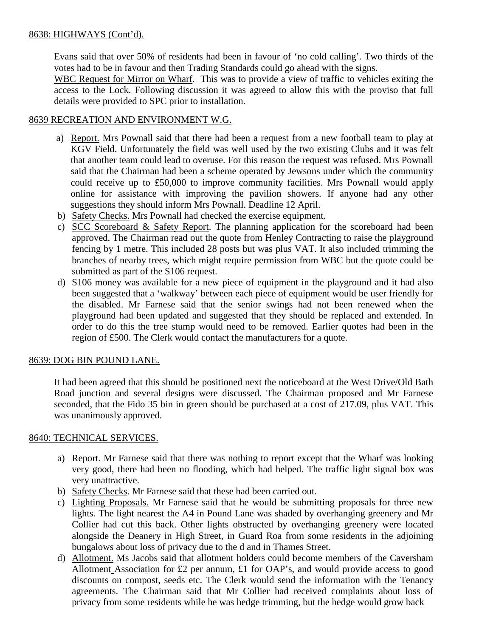# 8638: HIGHWAYS (Cont'd).

Evans said that over 50% of residents had been in favour of 'no cold calling'. Two thirds of the votes had to be in favour and then Trading Standards could go ahead with the signs.

WBC Request for Mirror on Wharf. This was to provide a view of traffic to vehicles exiting the access to the Lock. Following discussion it was agreed to allow this with the proviso that full details were provided to SPC prior to installation.

## 8639 RECREATION AND ENVIRONMENT W.G.

- a) Report. Mrs Pownall said that there had been a request from a new football team to play at KGV Field. Unfortunately the field was well used by the two existing Clubs and it was felt that another team could lead to overuse. For this reason the request was refused. Mrs Pownall said that the Chairman had been a scheme operated by Jewsons under which the community could receive up to £50,000 to improve community facilities. Mrs Pownall would apply online for assistance with improving the pavilion showers. If anyone had any other suggestions they should inform Mrs Pownall. Deadline 12 April.
- b) Safety Checks. Mrs Pownall had checked the exercise equipment.
- c) SCC Scoreboard & Safety Report. The planning application for the scoreboard had been approved. The Chairman read out the quote from Henley Contracting to raise the playground fencing by 1 metre. This included 28 posts but was plus VAT. It also included trimming the branches of nearby trees, which might require permission from WBC but the quote could be submitted as part of the S106 request.
- d) S106 money was available for a new piece of equipment in the playground and it had also been suggested that a 'walkway' between each piece of equipment would be user friendly for the disabled. Mr Farnese said that the senior swings had not been renewed when the playground had been updated and suggested that they should be replaced and extended. In order to do this the tree stump would need to be removed. Earlier quotes had been in the region of £500. The Clerk would contact the manufacturers for a quote.

## 8639: DOG BIN POUND LANE.

It had been agreed that this should be positioned next the noticeboard at the West Drive/Old Bath Road junction and several designs were discussed. The Chairman proposed and Mr Farnese seconded, that the Fido 35 bin in green should be purchased at a cost of 217.09, plus VAT. This was unanimously approved.

# 8640: TECHNICAL SERVICES.

- a) Report. Mr Farnese said that there was nothing to report except that the Wharf was looking very good, there had been no flooding, which had helped. The traffic light signal box was very unattractive.
- b) Safety Checks. Mr Farnese said that these had been carried out.
- c) Lighting Proposals. Mr Farnese said that he would be submitting proposals for three new lights. The light nearest the A4 in Pound Lane was shaded by overhanging greenery and Mr Collier had cut this back. Other lights obstructed by overhanging greenery were located alongside the Deanery in High Street, in Guard Roa from some residents in the adjoining bungalows about loss of privacy due to the d and in Thames Street.
- d) Allotment. Ms Jacobs said that allotment holders could become members of the Caversham Allotment Association for £2 per annum, £1 for OAP's, and would provide access to good discounts on compost, seeds etc. The Clerk would send the information with the Tenancy agreements. The Chairman said that Mr Collier had received complaints about loss of privacy from some residents while he was hedge trimming, but the hedge would grow back